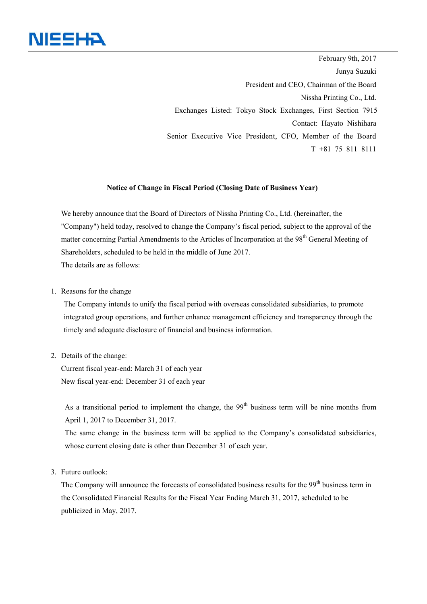

February 9th, 2017 Junya Suzuki President and CEO, Chairman of the Board Nissha Printing Co., Ltd. Exchanges Listed: Tokyo Stock Exchanges, First Section 7915 Contact: Hayato Nishihara Senior Executive Vice President, CFO, Member of the Board T +81 75 811 8111

## **Notice of Change in Fiscal Period (Closing Date of Business Year)**

We hereby announce that the Board of Directors of Nissha Printing Co., Ltd. (hereinafter, the "Company") held today, resolved to change the Company's fiscal period, subject to the approval of the matter concerning Partial Amendments to the Articles of Incorporation at the 98<sup>th</sup> General Meeting of Shareholders, scheduled to be held in the middle of June 2017. The details are as follows:

1. Reasons for the change

The Company intends to unify the fiscal period with overseas consolidated subsidiaries, to promote integrated group operations, and further enhance management efficiency and transparency through the timely and adequate disclosure of financial and business information.

2. Details of the change:

Current fiscal year-end: March 31 of each year New fiscal year-end: December 31 of each year

As a transitional period to implement the change, the  $99<sup>th</sup>$  business term will be nine months from April 1, 2017 to December 31, 2017.

 The same change in the business term will be applied to the Company's consolidated subsidiaries, whose current closing date is other than December 31 of each year.

3. Future outlook:

The Company will announce the forecasts of consolidated business results for the 99<sup>th</sup> business term in the Consolidated Financial Results for the Fiscal Year Ending March 31, 2017, scheduled to be publicized in May, 2017.